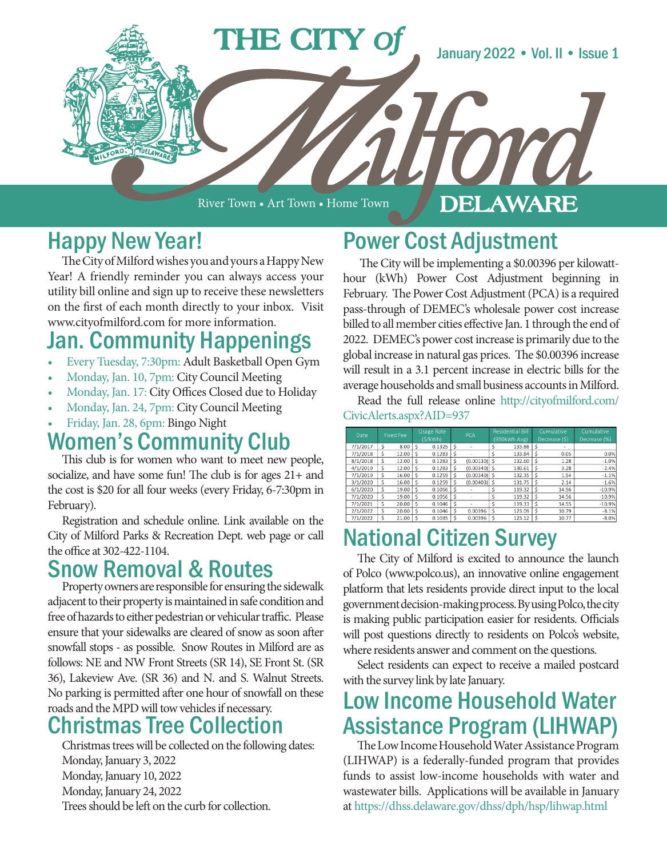

River Town • Art Town • Home Town

#### DELAWARE

# Happy New Year!

The City of Milford wishes you and yours a Happy New Year! A friendly reminder you can always access your utility bill online and sign up to receive these newsletters on the first of each month directly to your inbox. Visit www.cityofmilford.com for more information.

# Jan. Community Happenings

- Every Tuesday, 7:30pm: Adult Basketball Open Gym
- Monday, Jan. 10, 7pm: City Council Meeting
- Monday, Jan. 17: City Offices Closed due to Holiday
- Monday, Jan. 24, 7pm: City Council Meeting
- Friday, Jan. 28, 6pm: Bingo Night

### Women's Community Club

This club is for women who want to meet new people, socialize, and have some fun! The club is for ages 21+ and the cost is \$20 for all four weeks (every Friday, 6-7:30pm in February).

Registration and schedule online. Link available on the City of Milford Parks & Recreation Dept. web page or call the office at 302-422-1104.

#### Snow Removal & Routes

Property owners are responsible for ensuring the sidewalk adjacent to their property is maintained in safe condition and free of hazards to either pedestrian or vehicular traffic. Please ensure that your sidewalks are cleared of snow as soon after snowfall stops - as possible. Snow Routes in Milford are as follows: NE and NW Front Streets (SR 14), SE Front St. (SR 36), Lakeview Ave. (SR 36) and N. and S. Walnut Streets. No parking is permitted after one hour of snowfall on these roads and the MPD will tow vehicles if necessary.

### Christmas Tree Collection

Christmas trees will be collected on the following dates: Monday, January 3, 2022 Monday, January 10, 2022 Monday, January 24, 2022 Trees should be left on the curb for collection.

# Power Cost Adjustment

 The City will be implementing a \$0.00396 per kilowatthour (kWh) Power Cost Adjustment beginning in February. The Power Cost Adjustment (PCA) is a required pass-through of DEMEC's wholesale power cost increase billed to all member cities effective Jan. 1 through the end of 2022. DEMEC's power cost increase is primarily due to the global increase in natural gas prices. The \$0.00396 increase will result in a 3.1 percent increase in electric bills for the average households and small business accounts in Milford.

Read the full release online http://cityofmilford.com/ CivicAlerts.aspx?AID=937

| Date     |    | <b>Fixed Fee</b> |   | <b>Usage Rate</b><br>(S/kWh) |    | <b>PCA</b>     |    | <b>Residential Bill</b><br>(950kWh Avg) |    | Cumulative<br>Decrease (\$) | Cumulative<br>Decrease (%) |
|----------|----|------------------|---|------------------------------|----|----------------|----|-----------------------------------------|----|-----------------------------|----------------------------|
| 7/1/2017 | Ś  | 8.00             | Ś | 0.1325                       | Ś  | ٠              | Ś  | 133.88                                  | \$ | ۰                           |                            |
| 7/1/2018 | \$ | 12.00            | Ś | 0.1283                       | \$ | ۰              | Ś  | 133.84                                  | \$ | 0.05                        | 0.0%                       |
| 8/1/2018 | \$ | 12.00            | Ś | 0.1283                       | \$ | $(0.00130)$ \$ |    | 132.60                                  | \$ | 1.28                        | $-1.0%$                    |
| 4/1/2019 | Ś  | 12.00            | Ś | 0.1283                       | Ś  | $(0.00340)$ \$ |    | 130.61                                  | \$ | 3.28                        | $-2.4%$                    |
| 7/1/2019 | \$ | 16.00            | Ś | 0.1259                       | Ś  | $(0.00340)$ \$ |    | 132.35                                  | Ś  | 1.54                        | $-1.1%$                    |
| 3/1/2020 | \$ | 16.00            | Ś | 0.1259                       | Ś  | $(0.00403)$ \$ |    | 131.75                                  | Ś  | 2.14                        | $-1.6%$                    |
| 6/1/2020 | Ś  | 19.00            | Ś | 0.1056                       | Ś  | ٠              | \$ | 119.32                                  | Ś  | 14.56                       | $-10.9%$                   |
| 7/1/2020 | Ś  | 19.00            | Ś | 0.1056                       | Ś  | ٠              | \$ | 119.32                                  | Ś  | 14.56                       | $-10.9%$                   |
| 7/1/2021 | Ś  | 20.00            | Ś | 0.1046                       | Ś  |                | Ś  | 119.33                                  | Ś  | 14.55                       | $-10.9%$                   |
| 2/1/2022 | Ś  | 20.00            | Ś | 0.1046                       | Ś  | 0.00396        | Ś  | 123.09                                  | \$ | 10.79                       | $-8.1%$                    |
| 7/1/2022 | Ś  | 21.00            | Ś | 0.1035                       | Ś  | 0.00396        | Ś  | 123.12                                  | Ś  | 10.77                       | $-8.0%$                    |

# National Citizen Survey

The City of Milford is excited to announce the launch of Polco (www.polco.us), an innovative online engagement platform that lets residents provide direct input to the local government decision-making process. By using Polco, the city is making public participation easier for residents. Officials will post questions directly to residents on Polco's website, where residents answer and comment on the questions.

Select residents can expect to receive a mailed postcard with the survey link by late January.

# Low Income Household Water Assistance Program (LIHWAP)

The Low Income Household Water Assistance Program (LIHWAP) is a federally-funded program that provides funds to assist low-income households with water and wastewater bills. Applications will be available in January at https://dhss.delaware.gov/dhss/dph/hsp/lihwap.html